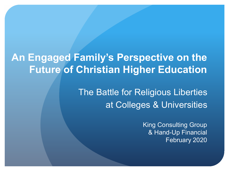# **An Engaged Family's Perspective on the Future of Christian Higher Education**

The Battle for Religious Liberties at Colleges & Universities

> King Consulting Group & Hand-Up Financial February 2020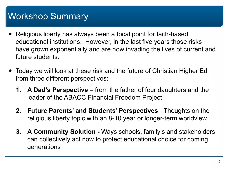# Workshop Summary

- Religious liberty has always been a focal point for faith-based educational institutions. However, in the last five years those risks have grown exponentially and are now invading the lives of current and future students.
- Today we will look at these risk and the future of Christian Higher Ed from three different perspectives:
	- **1. A Dad's Perspective** from the father of four daughters and the leader of the ABACC Financial Freedom Project
	- **2. Future Parents' and Students' Perspectives** Thoughts on the religious liberty topic with an 8-10 year or longer-term worldview
	- **3. A Community Solution -** Ways schools, family's and stakeholders can collectively act now to protect educational choice for coming generations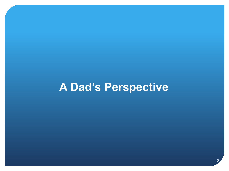# **A Dad's Perspective**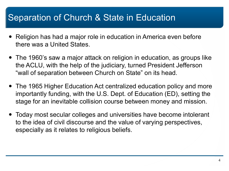## Separation of Church & State in Education

- Religion has had a major role in education in America even before there was a United States.
- The 1960's saw a major attack on religion in education, as groups like the ACLU, with the help of the judiciary, turned President Jefferson "wall of separation between Church on State" on its head.
- The 1965 Higher Education Act centralized education policy and more importantly funding, with the U.S. Dept. of Education (ED), setting the stage for an inevitable collision course between money and mission.
- Today most secular colleges and universities have become intolerant to the idea of civil discourse and the value of varying perspectives, especially as it relates to religious beliefs.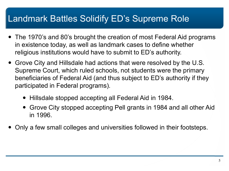## Landmark Battles Solidify ED's Supreme Role

- The 1970's and 80's brought the creation of most Federal Aid programs in existence today, as well as landmark cases to define whether religious institutions would have to submit to ED's authority.
- Grove City and Hillsdale had actions that were resolved by the U.S. Supreme Court, which ruled schools, not students were the primary beneficiaries of Federal Aid (and thus subject to ED's authority if they participated in Federal programs).
	- Hillsdale stopped accepting all Federal Aid in 1984.
	- Grove City stopped accepting Pell grants in 1984 and all other Aid in 1996.
- Only a few small colleges and universities followed in their footsteps.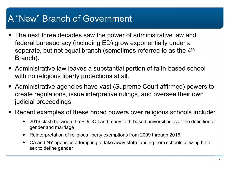# A "New" Branch of Government

- The next three decades saw the power of administrative law and federal bureaucracy (including ED) grow exponentially under a separate, but not equal branch (sometimes referred to as the 4<sup>th</sup> Branch).
- Administrative law leaves a substantial portion of faith-based school with no religious liberty protections at all.
- Administrative agencies have vast (Supreme Court affirmed) powers to create regulations, issue interpretive rulings, and oversee their own judicial proceedings.
- Recent examples of these broad powers over religious schools include:
	- 2016 clash between the ED/DOJ and many faith-based universities over the definition of gender and marriage
	- Reinterpretation of religious liberty exemptions from 2009 through 2016
	- CA and NY agencies attempting to take away state funding from schools utilizing birthsex to define gender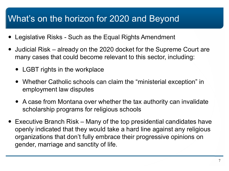# What's on the horizon for 2020 and Beyond

- Legislative Risks Such as the Equal Rights Amendment
- Judicial Risk already on the 2020 docket for the Supreme Court are many cases that could become relevant to this sector, including:
	- LGBT rights in the workplace
	- Whether Catholic schools can claim the "ministerial exception" in employment law disputes
	- A case from Montana over whether the tax authority can invalidate scholarship programs for religious schools
- Executive Branch Risk Many of the top presidential candidates have openly indicated that they would take a hard line against any religious organizations that don't fully embrace their progressive opinions on gender, marriage and sanctity of life.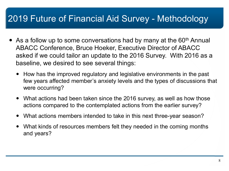# 2019 Future of Financial Aid Survey - Methodology

- As a follow up to some conversations had by many at the  $60<sup>th</sup>$  Annual ABACC Conference, Bruce Hoeker, Executive Director of ABACC asked if we could tailor an update to the 2016 Survey. With 2016 as a baseline, we desired to see several things:
	- How has the improved regulatory and legislative environments in the past few years affected member's anxiety levels and the types of discussions that were occurring?
	- What actions had been taken since the 2016 survey, as well as how those actions compared to the contemplated actions from the earlier survey?
	- What actions members intended to take in this next three-year season?
	- What kinds of resources members felt they needed in the coming months and years?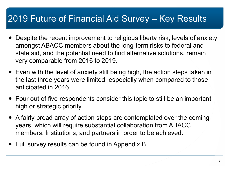# 2019 Future of Financial Aid Survey – Key Results

- Despite the recent improvement to religious liberty risk, levels of anxiety amongst ABACC members about the long-term risks to federal and state aid, and the potential need to find alternative solutions, remain very comparable from 2016 to 2019.
- Even with the level of anxiety still being high, the action steps taken in the last three years were limited, especially when compared to those anticipated in 2016.
- Four out of five respondents consider this topic to still be an important, high or strategic priority.
- A fairly broad array of action steps are contemplated over the coming years, which will require substantial collaboration from ABACC, members, Institutions, and partners in order to be achieved.
- Full survey results can be found in Appendix B.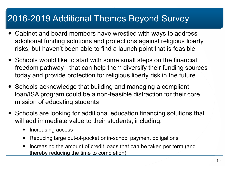# 2016-2019 Additional Themes Beyond Survey

- Cabinet and board members have wrestled with ways to address additional funding solutions and protections against religious liberty risks, but haven't been able to find a launch point that is feasible
- Schools would like to start with some small steps on the financial freedom pathway - that can help them diversify their funding sources today and provide protection for religious liberty risk in the future.
- Schools acknowledge that building and managing a compliant loan/ISA program could be a non-feasible distraction for their core mission of educating students
- Schools are looking for additional education financing solutions that will add immediate value to their students, including:
	- Increasing access
	- Reducing large out-of-pocket or in-school payment obligations
	- Increasing the amount of credit loads that can be taken per term (and thereby reducing the time to completion)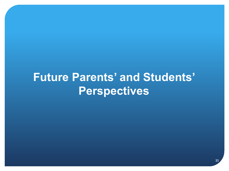# **Future Parents' and Students' Perspectives**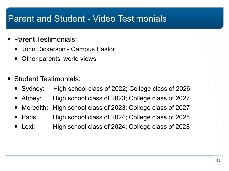# Parent and Student - Video Testimonials

- Parent Testimonials:
	- John Dickerson Campus Pastor
	- Other parents' world views
- Student Testimonials:
	- Sydney: High school class of 2022; College class of 2026
	- Abbey: High school class of 2023; College class of 2027
	- Meredith: High school class of 2023; College class of 2027
	- Paris: High school class of 2024; College class of 2028
	- Lexi: High school class of 2024; College class of 2028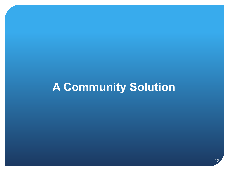# **A Community Solution**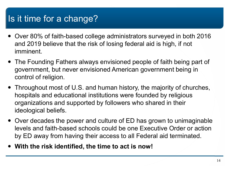# Is it time for a change?

- Over 80% of faith-based college administrators surveyed in both 2016 and 2019 believe that the risk of losing federal aid is high, if not imminent.
- The Founding Fathers always envisioned people of faith being part of government, but never envisioned American government being in control of religion.
- Throughout most of U.S. and human history, the majority of churches, hospitals and educational institutions were founded by religious organizations and supported by followers who shared in their ideological beliefs.
- Over decades the power and culture of ED has grown to unimaginable levels and faith-based schools could be one Executive Order or action by ED away from having their access to all Federal aid terminated.
- **With the risk identified, the time to act is now!**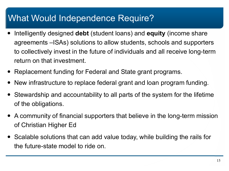# What Would Independence Require?

- Intelligently designed **debt** (student loans) and **equity** (income share agreements –ISAs) solutions to allow students, schools and supporters to collectively invest in the future of individuals and all receive long-term return on that investment.
- Replacement funding for Federal and State grant programs.
- New infrastructure to replace federal grant and loan program funding.
- Stewardship and accountability to all parts of the system for the lifetime of the obligations.
- A community of financial supporters that believe in the long-term mission of Christian Higher Ed
- Scalable solutions that can add value today, while building the rails for the future-state model to ride on.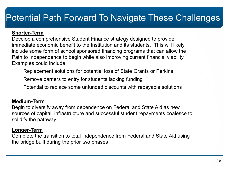# Potential Path Forward To Navigate These Challenges

#### **Shorter-Term**

Develop a comprehensive Student Finance strategy designed to provide immediate economic benefit to the Institution and its students. This will likely include some form of school sponsored financing programs that can allow the Path to Independence to begin while also improving current financial viability. Examples could include:

Replacement solutions for potential loss of State Grants or Perkins

Remove barriers to entry for students lacking funding

Potential to replace some unfunded discounts with repayable solutions

#### **Medium-Term**

Begin to diversify away from dependence on Federal and State Aid as new sources of capital, infrastructure and successful student repayments coalesce to solidify the pathway

#### **Longer-Term**

Complete the transition to total independence from Federal and State Aid using the bridge built during the prior two phases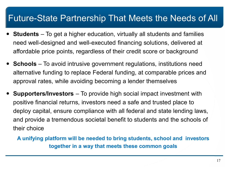### Future-State Partnership That Meets the Needs of All

- **Students** To get a higher education, virtually all students and families need well-designed and well-executed financing solutions, delivered at affordable price points, regardless of their credit score or background
- **Schools** To avoid intrusive government regulations, institutions need alternative funding to replace Federal funding, at comparable prices and approval rates, while avoiding becoming a lender themselves
- **Supporters/Investors** To provide high social impact investment with positive financial returns, investors need a safe and trusted place to deploy capital, ensure compliance with all federal and state lending laws, and provide a tremendous societal benefit to students and the schools of their choice
	- **A unifying platform will be needed to bring students, school and investors together in a way that meets these common goals**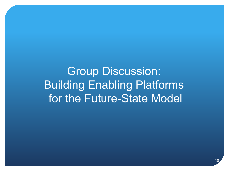Group Discussion: Building Enabling Platforms for the Future-State Model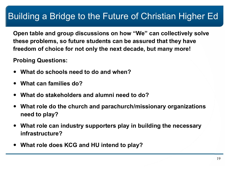# Building a Bridge to the Future of Christian Higher Ed

**Open table and group discussions on how "We" can collectively solve these problems, so future students can be assured that they have freedom of choice for not only the next decade, but many more!** 

**Probing Questions:** 

- **What do schools need to do and when?**
- **What can families do?**
- **What do stakeholders and alumni need to do?**
- **What role do the church and parachurch/missionary organizations need to play?**
- **What role can industry supporters play in building the necessary infrastructure?**
- **What role does KCG and HU intend to play?**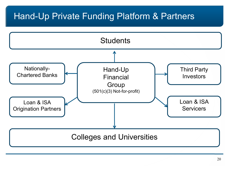## Hand-Up Private Funding Platform & Partners

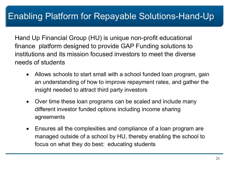Hand Up Financial Group (HU) is unique non-profit educational finance platform designed to provide GAP Funding solutions to institutions and its mission focused investors to meet the diverse needs of students

- Allows schools to start small with a school funded loan program, gain an understanding of how to improve repayment rates, and gather the insight needed to attract third party investors
- Over time these loan programs can be scaled and include many different investor funded options including income sharing agreements
- Ensures all the complexities and compliance of a loan program are managed outside of a school by HU, thereby enabling the school to focus on what they do best: educating students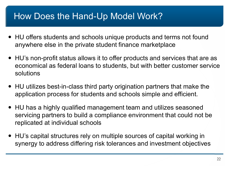## How Does the Hand-Up Model Work?

- HU offers students and schools unique products and terms not found anywhere else in the private student finance marketplace
- HU's non-profit status allows it to offer products and services that are as economical as federal loans to students, but with better customer service solutions
- HU utilizes best-in-class third party origination partners that make the application process for students and schools simple and efficient.
- HU has a highly qualified management team and utilizes seasoned servicing partners to build a compliance environment that could not be replicated at individual schools
- HU's capital structures rely on multiple sources of capital working in synergy to address differing risk tolerances and investment objectives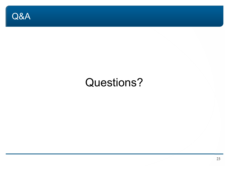

# Questions?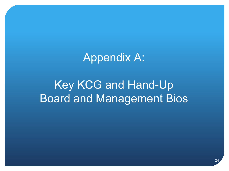# Appendix A:

# Key KCG and Hand-Up Board and Management Bios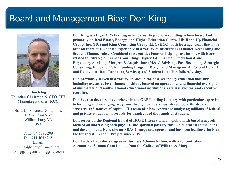### Board and Management Bios: Don King



**Don King Founder, Chairman & CEO -HU Managing Partner- KCG**

Hand-Up Financial Group, Inc. 103 Windsor Way Williamsburg, VA **USA** 

Cell: 714.658.5209 Fax: 714.464.4265 Email: dking@handupfinancial.org dking@kingconsultinggroup.com **Don King is a Big-4 CPA that began his career in public accounting, where he worked primarily on Real Estate, Energy, and Higher Education clients. His Hand-Up Financial Group, Inc. (HU) and King Consulting Group, LLC (KCG) both leverage teams that have over 60 years of Higher Ed experience in a variety of Institutional Finance/Accounting and Student Finance roles. Combined these entities focus on helping Institutions with issues related to: Strategic Finance Consulting; Higher Ed Financial, Operational and Regulatory Advising; Mergers & Acquisitions (M&A) Advising; Post-Secondary Strategic Consulting; Education GAP Funding Program Design and Management; Federal Default and Repayment Rate Reporting Services; and Student Loan Portfolio Advising.** 

**Don previously served in a variety of roles in the post-secondary education industry, including executive level finance positions focused on operational and financial oversight of multi-state and multi-national educational institutions, external auditor, and executive recruiter.** 

**Don has two decades of experience in the GAP Funding Industry with particular expertise in building and managing programs through partnerships with schools, third-party servicers and sources of capital. His team also has experience analyzing millions of federal and private student loan records for hundreds of thousands of students.**

**Don serves on the Regional Board of HOPE International, a global faith based nonprofit focused on addressing both physical and spiritual poverty through microenterprise loans and development. He is also an ABACC corporate sponsor and has been leading efforts on the Financial Freedom Project since 2019.** 

**Don holds a Bachelor's degree in Business Administration, with a concentration in Accounting, Summa Cum Laude, from the College of William & Mary.**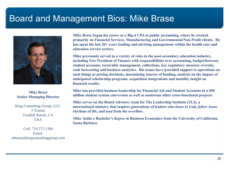### Board and Management Bios: Mike Brase



**Mike Brase Senior Managing Director**

King Consulting Group, LLC. 5 Tizmin Foothill Ranch, CA **USA** 

Cell: 714.273.1380 Email: mbrase@kingconsultinggroup.com **Mike Brase began his career as a Big-4 CPA in public accounting, where he worked primarily on Financial Services, Manufacturing and Governmental/Non-Profit clients. He has spent the last 20+ years leading and advising management within the health care and education service sectors.**

**Mike previously served in a variety of roles in the post-secondary education industry, including Vice President of Finance with responsibilities over accounting, budget/forecast, student accounts, receivable management, collections, key regulatory measure oversite, cash forecasting and business analytics. His teams have provided support to operations on such things as pricing decisions, maximizing sources of funding, analysis on the impact of anticipated scholarship programs, acquisition integrations and monthly insight on financial results.** 

**Mike has provided business leadership for Financial Aid and Student Accounts in a \$50 million student system conversion as well as numerous other cross-functional projects.** 

**Mike serves on the Board Advisory team for The Leadership Institute (TLI), a international ministry that inspires generations of leaders who** *listen* **to God,** *follow* **Jesus rhythms of life, and** *lead* **from the overflow.**

**Mike holds a Bachelor's degree in Business Economics from the University of California, Santa Barbara.**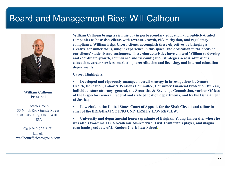### Board and Management Bios: Will Calhoun



#### **William Calhoun Principal**

Cicero Group 35 North Rio Grande Street Salt Lake City, Utah 84101 **USA** 

Cell: 949.922.2171 Email: wcalhoun@cicerogroup.com **William Calhoun brings a rich history in post-secondary education and publicly-traded companies as he assists clients with revenue growth, risk mitigation, and regulatory compliance. William helps Cicero clients accomplish these objectives by bringing a creative consumer focus, unique experience in this space, and dedication to the needs of our clients' students and customers. These characteristics have allowed William to develop and coordinate growth, compliance and risk-mitigation strategies across admissions, education, career services, marketing, accreditation and licensing, and internal education departments.**

**Career Highlights:** 

• **Developed and rigorously managed overall strategy in investigations by Senate Health, Education, Labor & Pensions Committee, Consumer Financial Protection Bureau, individual state attorneys general, the Securities & Exchange Commission, various Offices of the Inspector General, federal and state education departments, and by the Department of Justice;**

• **Law clerk to the United States Court of Appeals for the Sixth Circuit and editor-inchief of the BRIGHAM YOUNG UNIVERSITY LAW REVIEW;**

• **University and departmental honors graduate of Brigham Young University, where he was also a two-time ITCA Academic All-America, First Team tennis player, and magna cum laude graduate of J. Rueben Clark Law School.**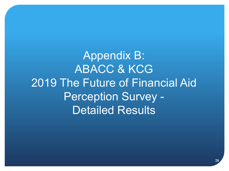Appendix B: ABACC & KCG 2019 The Future of Financial Aid Perception Survey - Detailed Results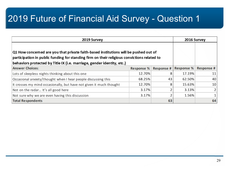| 2019 Survey                                                                                                                                                                                                                                                   |                   | 2016 Survey       |            |                 |
|---------------------------------------------------------------------------------------------------------------------------------------------------------------------------------------------------------------------------------------------------------------|-------------------|-------------------|------------|-----------------|
| Q1 How concerned are you that private faith-based institutions will be pushed out of<br>participation in public funding for standing firm on their religious convictions related to<br>behaviors protected by Title IX (i.e. marriage, gender identity, etc.) |                   |                   |            |                 |
| <b>Answer Choices:</b>                                                                                                                                                                                                                                        | <b>Response %</b> | <b>Response #</b> | Response % | Response #      |
| Lots of sleepless nights thinking about this one                                                                                                                                                                                                              | 12.70%            | 8                 | 17.19%     | 11 I            |
| Occasional anxiety/thought when I hear people discussing this                                                                                                                                                                                                 | 68.25%            | 43                | 62.50%     | 40              |
| It crosses my mind occasionally, but have not given it much thought                                                                                                                                                                                           | 12.70%            | 8                 | 15.63%     | 10 <sup>1</sup> |
| Not on the radar It's all good here                                                                                                                                                                                                                           | 3.17%             | 2                 | 3.13%      | 2               |
| Not sure why we are even having this discussion                                                                                                                                                                                                               | 3.17%             | 2                 | 1.56%      | $1\vert$        |
| <b>Total Respondents</b>                                                                                                                                                                                                                                      |                   | 63                |            | 64              |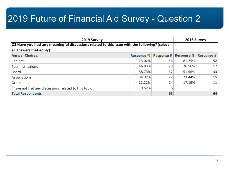| 2019 Survey                                                                                  |            | 2016 Survey       |            |            |
|----------------------------------------------------------------------------------------------|------------|-------------------|------------|------------|
| Q2 Have you had any meaningful discussions related to this issue with the following? (select |            |                   |            |            |
| all answers that apply):                                                                     |            |                   |            |            |
| <b>Answer Choices:</b>                                                                       | Response % | <b>Response #</b> | Response % | Response # |
| Cabinet                                                                                      | 73.02%     | 46                | 81.25%     | 52         |
| Peer institutions                                                                            | 46.03%     | 29                | 26.56%     | 17         |
| Board                                                                                        | 58.73%     | 37                | 51.56%     | 33         |
| Associations                                                                                 | 34.92%     | 22                | 23.44%     | 15         |
| Other                                                                                        | 22.22%     | 14                | 17.19%     | 11         |
| I have not had any discussions related to this topic                                         | 9.52%      | 6                 |            |            |
| <b>Total Respondents</b>                                                                     |            | 63                |            | 64         |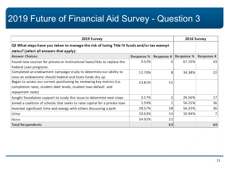| 2019 Survey                                                                                |                   |            | 2016 Survey       |                |
|--------------------------------------------------------------------------------------------|-------------------|------------|-------------------|----------------|
| Q3 What steps have you taken to manage the risk of losing Title IV funds and/or tax exempt |                   |            |                   |                |
| status? (select all answers that apply):                                                   |                   |            |                   |                |
| <b>Answer Choices:</b>                                                                     | <b>Response %</b> | Response # | <b>Response %</b> | Response #     |
| Found new sources for private or institutional loans/ISAs to replace the                   | 9.52%             | 6          | 67.19%            | 43             |
| Federal Loan programs                                                                      |                   |            |                   |                |
| Completed an endowment campaign study to determine our ability to                          | 12.70%            | 8          | 34.38%            | 22             |
| raise an endowment should Federal and State funds dry up                                   |                   |            |                   |                |
| Began to assess our current positioning by reviewing key metrics (i.e.                     | 23.81%            | 15         |                   |                |
| completion rates, student debt levels, student loan default and                            |                   |            |                   |                |
| repayment rates)                                                                           |                   |            |                   |                |
| Sought foundation support to study this issue to determine next steps                      | 3.17%             | 2          | 26.56%            | 17             |
| Joined a coalition of schools that seeks to raise capital for a private loan               | 1.59%             |            | 56.25%            | 36             |
| Invested significant time and energy with others discussing a path                         | 28.57%            | 18         | 56.25%            | 36             |
| Other                                                                                      | 20.63%            | 13         | 10.94%            | $\overline{7}$ |
| None                                                                                       | 34.92%            | 22         |                   |                |
| <b>Total Respondents</b>                                                                   |                   | 63         |                   | 64             |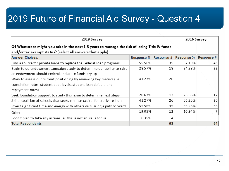| 2019 Survey                                                                                                                                                  |                   | 2016 Survey |                   |                 |
|--------------------------------------------------------------------------------------------------------------------------------------------------------------|-------------------|-------------|-------------------|-----------------|
| Q4 What steps might you take in the next 1-3 years to manage the risk of losing Title IV funds<br>and/or tax exempt status? (select all answers that apply): |                   |             |                   |                 |
| <b>Answer Choices:</b>                                                                                                                                       | <b>Response %</b> | Response #  | <b>Response %</b> | Response #      |
| Find a source for private loans to replace the Federal Loan programs                                                                                         | 55.56%            | 35          | 67.19%            | 43              |
| Begin to do endowment campaign study to determine our ability to raise<br>an endowment should Federal and State funds dry up                                 | 28.57%            | 18          | 34.38%            | 22              |
| Work to assess our current positioning by reviewing key metrics (i.e.<br>completion rates, student debt levels, student loan default and<br>repayment rates) | 41.27%            | 26          |                   |                 |
| Seek foundation support to study this issue to determine next steps                                                                                          | 20.63%            | 13          | 26.56%            | 17 <sup>1</sup> |
| Join a coalition of schools that seeks to raise capital for a private loan                                                                                   | 41.27%            | 26          | 56.25%            | 36              |
| Invest significant time and energy with others discussing a path forward                                                                                     | 55.56%            | 35          | 56.25%            | 36              |
| Other                                                                                                                                                        | 19.05%            | 12          | 10.94%            | 7 <sup>1</sup>  |
| I don't plan to take any actions, as this is not an issue for us                                                                                             | 6.35%             | 4           |                   |                 |
| <b>Total Respondents</b>                                                                                                                                     |                   | 63          |                   | 64              |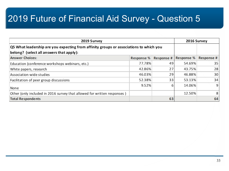| 2019 Survey                                                                            |                   |                   | 2016 Survey |            |
|----------------------------------------------------------------------------------------|-------------------|-------------------|-------------|------------|
| Q5 What leadership are you expecting from affinity groups or associations to which you |                   |                   |             |            |
| belong? (select all answers that apply):                                               |                   |                   |             |            |
| <b>Answer Choices:</b>                                                                 | <b>Response %</b> | <b>Response #</b> | Response %  | Response # |
| Education (conference workshops webinars, etc.)                                        | 77.78%            | 49                | 54.69%      | 35         |
| White papers, research                                                                 | 42.86%            | 27                | 43.75%      | 28         |
| Association-wide studies                                                               | 46.03%            | 29                | 46.88%      | 30         |
| Facilitation of peer group discussions                                                 | 52.38%            | 33                | 53.13%      | 34         |
| None                                                                                   | 9.52%             | 6                 | 14.06%      | 9          |
| Other (only included in 2016 survey that allowed for written responses)                |                   |                   | 12.50%      | 8          |
| <b>Total Respondents</b>                                                               |                   | 63                |             | 64         |